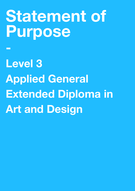# **Statement of Purpose**

**-** 

**Level 3 Applied General Extended Diploma in Art and Design**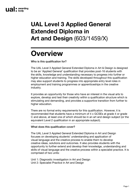### **UAL Level 3 Applied General Extended Diploma in Art and Design** (603/1459/X)

## **Overview**

Who is this qualification for?

The UAL Level 3 Applied General Extended Diploma in Art & Design is designed to be an 'Applied General' qualification that provides post-16 students with the skills, knowledge and understanding necessary to progress into further or higher education and training. The skills developed throughout this qualification may also support students to progress into appropriate entry level roles in employment and training programmes or apprenticeships in the creative industry.

It provides an opportunity for those who have an interest in the visual arts to explore, develop and test their creativity within a qualification structure which is stimulating and demanding, and provides a supportive transition from further to higher education.

There are no formal entry requirements for this qualification. However, it is recommended that students have a minimum of 4 x GCSEs at grade 4 or grade C and above, at least one of which should be in an art and design subject (or the equivalent Level 2 qualification in an appropriate subject).

#### What does this qualification cover?

The UAL Level 3 Applied General Extended Diploma in Art and Design focuses on developing students' understanding and application of visual language and the creative process to enable them to develop creative ideas, solutions and outcomes. It also provides students with the opportunity to further extend and develop their knowledge, understanding and skills of visual language and the creative process within a specialist practice. It is comprised of two units:

Unit 1: Diagnostic investigation in Art and Design

Unit 2: Specialist Practice in Art and Design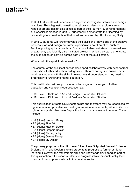In Unit 1, students will undertake a diagnostic investigation into art and design practices. This diagnostic investigation allows students to explore a wide range of art and design disciplines as part of their journey to, or reinforcement of a specialist practice in Unit 2. Students will demonstrate their learning by responding to a creative brief that is set and marked by UAL Awarding Body.

In Unit 2, students will further develop their skills and knowledge of the creative process in art and design but within a particular area of practice, such as fashion, photography or graphics. Students will demonstrate an increased level of autonomy and identify a self-initiated project in which they can demonstrate the culmination of learning across both units of the qualification.

#### What could this qualification lead to?

The content of the qualification was developed collaboratively with experts from universities, further education colleges and 6th form colleges to ensure that it provides students with the skills, knowledge and understanding they need to progress into further and higher education.

This qualification will support students to progress to a range of further education and vocational courses, such as:

- UAL Level 3 Diploma in Art and Design Foundation Studies
- UAL Level 4 Diploma in Art and Design Foundation Studies

This qualification attracts UCAS tariff points and therefore may be recognised by higher education providers as meeting admission requirements, either in its own right or alongside other Level 3 qualifications, to many relevant courses. These include:

- BA (Hons) Product Design
- BA (Hons) Fine Art
- BA (Hons) Fashion Design
- BA (Hons) Graphic Design
- BA (Hons) Photography
- BA (Hons) Games Design
- BA (Hons) 3D Design

The primary purpose of the UAL Level 3 UAL Level 3 Applied General Extended Diploma in Art and Design is to aid students to progress to further or higher learning. However, the transferable skills and knowledge developed as part of this qualification will support students to progress into appropriate entry level roles or higher apprenticeships in the creative sector.